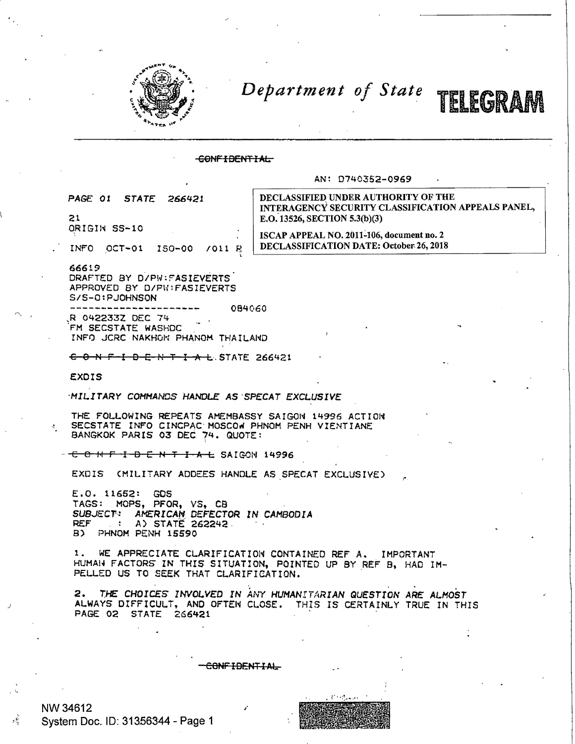

Department of State



## CONFIDENTIAL

## AN: D740352-0969

PAGE 01 **STATE** 266421

21 ORIGIN SS-10

INFO OCT-01 150-00  $7011R$  DECLASSIFIED UNDER AUTHORITY OF THE INTERAGENCY SECURITY CLASSIFICATION APPEALS PANEL, E.O. 13526, SECTION 5.3(b)(3)

ISCAP APPEAL NO. 2011-106, document no. 2 **DECLASSIFICATION DATE: October 26, 2018** 

66619 DRAFTED BY D/PW:FASIEVERTS APPROVED BY D/PW:FASIEVERTS

S/S-0: PJOHNSON

084060 R 042233Z DEC 74

FM SECSTATE WASHDC

INFO JCRC NAKHON PHANOM THAILAND

CONFIDENTIALSTATE 266421

EXDIS

MILITARY COMMANDS HANDLE AS SPECAT EXCLUSIVE

THE FOLLOWING REPEATS AMEMBASSY SAIGON 14996 ACTION SECSTATE INFO CINCPAC MOSCOW PHNOM PENH VIENTIANE BANGKOK PARIS 03 DEC 74. QUOTE:

CONFIDENTIAL SAIGON 14996

EXDIS (MILITARY ADDEES HANDLE AS SPECAT EXCLUSIVE)

 $E.0.11652:$ GDS TAGS: MOPS, PFOR, VS, CB SUBJECT: AMERICAN DEFECTOR IN CAMBODIA A) STATE 262242. **REF** B) PHNOM PENH 15590

WE APPRECIATE CLARIFICATION CONTAINED REF A. IMPORTANT  $1 -$ HUMAN FACTORS IN THIS SITUATION, POINTED UP BY REF B, HAD IM-PELLED US TO SEEK THAT CLARIFICATION.

THE CHOICES INVOLVED IN ANY HUMANITARIAN QUESTION ARE ALMOST  $2.$ ALWAYS DIFFICULT, AND OFTEN CLOSE. THIS IS CERTAINLY TRUE IN THIS PAGE 02 STATE 266421

CONFIDENTIAL

NW 34612 System Doc. ID: 31356344 - Page 1

эŚ,

مرداح